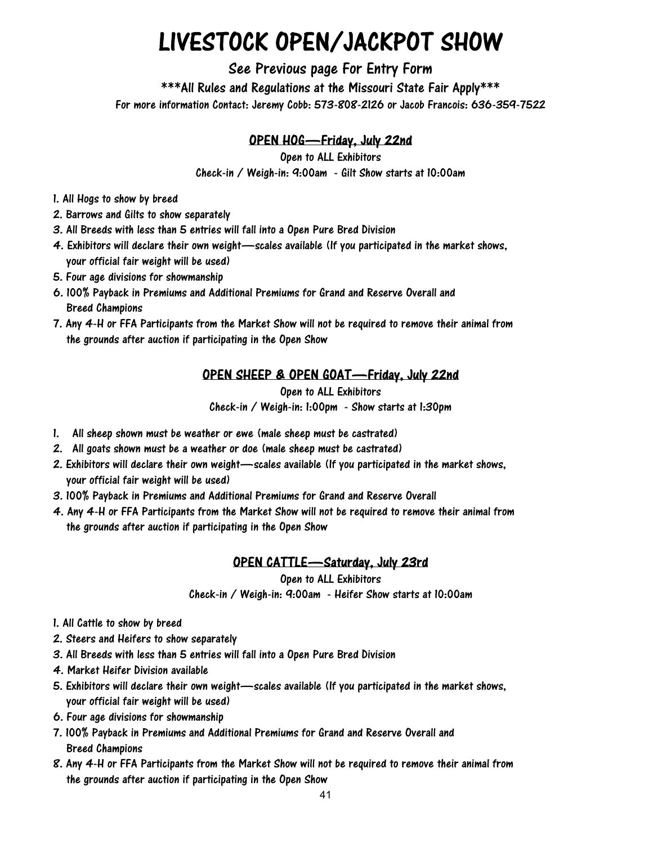# LIVESTOCK OPEN/JACKPOT SHOW

See Previous page For Entry Form

\*\*\*All Rules and Regulations at the Missouri State Fair Apply\*\*\* For more information Contact: Jeremy Cobb: 573-808-2126 or Jacob Francois: 636-359-7522

### OPEN HOG—Friday, July 22nd

Open to ALL Exhibitors

Check-in / Weigh-in: 9:00am - Gilt Show starts at 10:00am

- 1. All Hogs to show by breed
- 2. Barrows and Gilts to show separately
- 3. All Breeds with less than 5 entries will fall into a Open Pure Bred Division
- 4. Exhibitors will declare their own weight—scales available (If you participated in the market shows, your official fair weight will be used)
- 5. Four age divisions for showmanship
- 6. 100% Payback in Premiums and Additional Premiums for Grand and Reserve Overall and Breed Champions
- 7. Any 4-H or FFA Participants from the Market Show will not be required to remove their animal from the grounds after auction if participating in the Open Show

### OPEN SHEEP & OPEN GOAT—Friday, July 22nd

Open to ALL Exhibitors Check-in / Weigh-in: 1:00pm - Show starts at 1:30pm

- 1. All sheep shown must be weather or ewe (male sheep must be castrated)
- 2. All goats shown must be a weather or doe (male sheep must be castrated)
- 2. Exhibitors will declare their own weight—scales available (If you participated in the market shows, your official fair weight will be used)
- 3. 100% Payback in Premiums and Additional Premiums for Grand and Reserve Overall
- 4. Any 4-H or FFA Participants from the Market Show will not be required to remove their animal from the grounds after auction if participating in the Open Show

#### OPEN CATTLE—Saturday, July 23rd

Open to ALL Exhibitors

Check-in / Weigh-in: 9:00am - Heifer Show starts at 10:00am

- 1. All Cattle to show by breed
- 2. Steers and Heifers to show separately
- 3. All Breeds with less than 5 entries will fall into a Open Pure Bred Division
- 4. Market Heifer Division available
- 5. Exhibitors will declare their own weight—scales available (If you participated in the market shows, your official fair weight will be used)
- 6. Four age divisions for showmanship
- 7. 100% Payback in Premiums and Additional Premiums for Grand and Reserve Overall and Breed Champions
- 8. Any 4-H or FFA Participants from the Market Show will not be required to remove their animal from the grounds after auction if participating in the Open Show